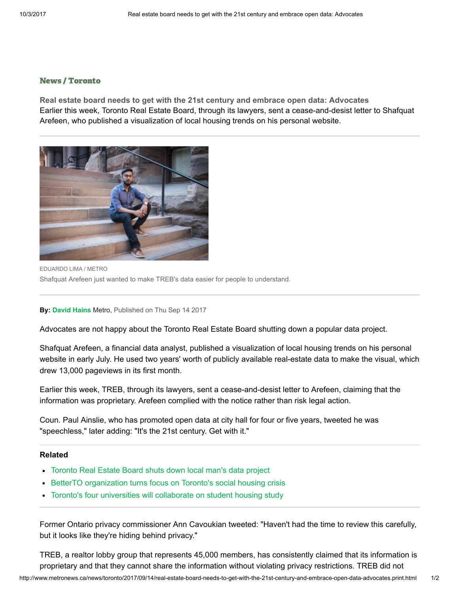## [News](http://www.metronews.ca/news.html) / [Toronto](http://www.metronews.ca/news/toronto.html)

Real estate board needs to get with the 21st century and embrace open data: Advocates Earlier this week, Toronto Real Estate Board, through its lawyers, sent a cease-and-desist letter to Shafquat Arefeen, who published a visualization of local housing trends on his personal website.



EDUARDO LIMA / METRO Shafquat Arefeen just wanted to make TREB's data easier for people to understand.

## By: [David Hains](http://www.metronews.ca/authors.david-hains.html) Metro, Published on Thu Sep 14 2017

Advocates are not happy about the Toronto Real Estate Board shutting down a popular data project.

Shafquat Arefeen, a financial data analyst, published a visualization of local housing trends on his personal website in early July. He used two years' worth of publicly available real-estate data to make the visual, which drew 13,000 pageviews in its first month.

Earlier this week, TREB, through its lawyers, sent a cease-and-desist letter to Arefeen, claiming that the information was proprietary. Arefeen complied with the notice rather than risk legal action.

Coun. Paul Ainslie, who has promoted open data at city hall for four or five years, tweeted he was "speechless," later adding: "It's the 21st century. Get with it."

## Related

- [Toronto Real Estate Board shuts down local man's data project](http://www.metronews.ca/news/toronto/2017/09/13/toronto-real-estate-board-shuts-down-local-man-s-data-project.html)
- [BetterTO organization turns focus on Toronto's social housing crisis](http://www.metronews.ca/news/toronto/2017/09/11/betterto-organization-turns-focus-on-toronto-s-social-housing-crisis.html)
- [Toronto's four universities will collaborate on student housing study](http://www.metronews.ca/news/toronto/2017/08/30/toronto-s-four-universities-will-collaborate-on-student-housing-study.html)

Former Ontario privacy commissioner Ann Cavoukian tweeted: "Haven't had the time to review this carefully, but it looks like they're hiding behind privacy."

TREB, a realtor lobby group that represents 45,000 members, has consistently claimed that its information is proprietary and that they cannot share the information without violating privacy restrictions. TREB did not